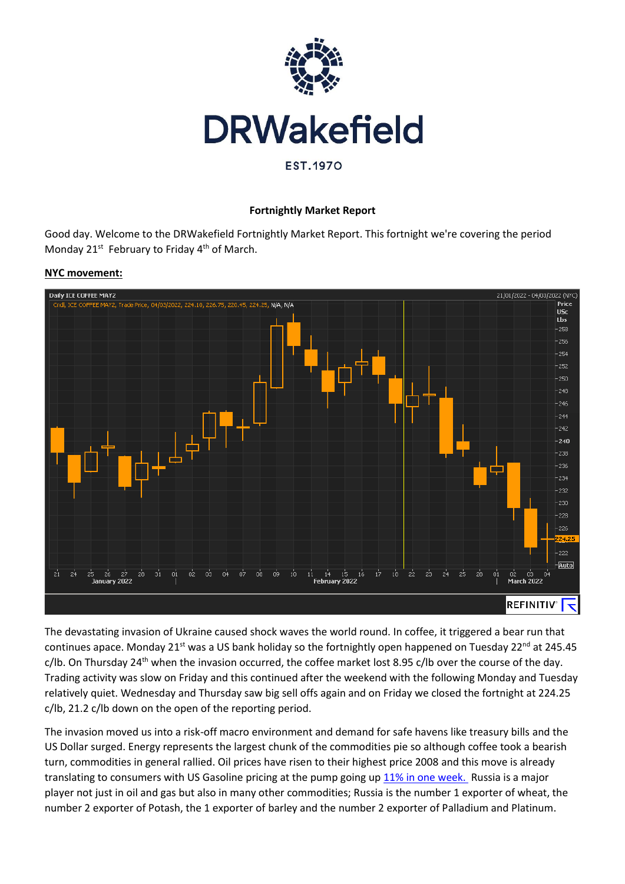

### **Fortnightly Market Report**

Good day. Welcome to the DRWakefield Fortnightly Market Report. This fortnight we're covering the period Monday 21<sup>st</sup> February to Friday 4<sup>th</sup> of March.

#### **NYC movement:**



The devastating invasion of Ukraine caused shock waves the world round. In coffee, it triggered a bear run that continues apace. Monday 21<sup>st</sup> was a US bank holiday so the fortnightly open happened on Tuesday 22<sup>nd</sup> at 245.45 c/lb. On Thursday 24<sup>th</sup> when the invasion occurred, the coffee market lost 8.95 c/lb over the course of the day. Trading activity was slow on Friday and this continued after the weekend with the following Monday and Tuesday relatively quiet. Wednesday and Thursday saw big sell offs again and on Friday we closed the fortnight at 224.25 c/lb, 21.2 c/lb down on the open of the reporting period.

The invasion moved us into a risk-off macro environment and demand for safe havens like treasury bills and the US Dollar surged. Energy represents the largest chunk of the commodities pie so although coffee took a bearish turn, commodities in general rallied. Oil prices have risen to their highest price 2008 and this move is already translating to consumers with US Gasoline pricing at the pump going up [11% in one week.](https://www.reuters.com/business/energy/us-gasoline-prices-soar-highest-since-2008-russia-conflict-aaa-2022-03-06/) Russia is a major player not just in oil and gas but also in many other commodities; Russia is the number 1 exporter of wheat, the number 2 exporter of Potash, the 1 exporter of barley and the number 2 exporter of Palladium and Platinum.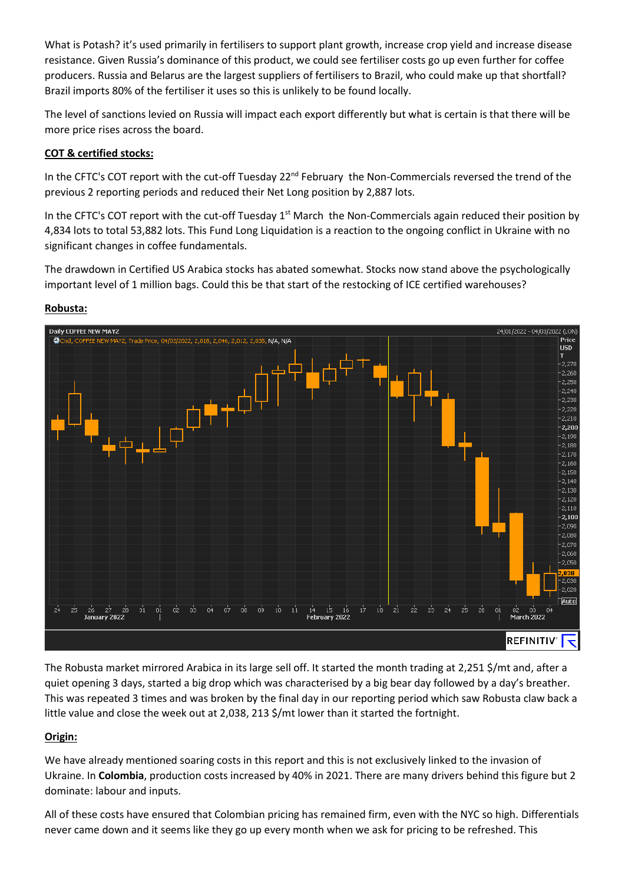What is Potash? it's used primarily in fertilisers to support plant growth, increase crop yield and increase disease resistance. Given Russia's dominance of this product, we could see fertiliser costs go up even further for coffee producers. Russia and Belarus are the largest suppliers of fertilisers to Brazil, who could make up that shortfall? Brazil imports 80% of the fertiliser it uses so this is unlikely to be found locally.

The level of sanctions levied on Russia will impact each export differently but what is certain is that there will be more price rises across the board.

## **COT & certified stocks:**

In the CFTC's COT report with the cut-off Tuesday 22<sup>nd</sup> February the Non-Commercials reversed the trend of the previous 2 reporting periods and reduced their Net Long position by 2,887 lots.

In the CFTC's COT report with the cut-off Tuesday 1<sup>st</sup> March the Non-Commercials again reduced their position by 4,834 lots to total 53,882 lots. This Fund Long Liquidation is a reaction to the ongoing conflict in Ukraine with no significant changes in coffee fundamentals.

The drawdown in Certified US Arabica stocks has abated somewhat. Stocks now stand above the psychologically important level of 1 million bags. Could this be that start of the restocking of ICE certified warehouses?



#### **Robusta:**

The Robusta market mirrored Arabica in its large sell off. It started the month trading at 2,251 \$/mt and, after a quiet opening 3 days, started a big drop which was characterised by a big bear day followed by a day's breather. This was repeated 3 times and was broken by the final day in our reporting period which saw Robusta claw back a little value and close the week out at 2,038, 213 \$/mt lower than it started the fortnight.

## **Origin:**

We have already mentioned soaring costs in this report and this is not exclusively linked to the invasion of Ukraine. In **Colombia**, production costs increased by 40% in 2021. There are many drivers behind this figure but 2 dominate: labour and inputs.

All of these costs have ensured that Colombian pricing has remained firm, even with the NYC so high. Differentials never came down and it seems like they go up every month when we ask for pricing to be refreshed. This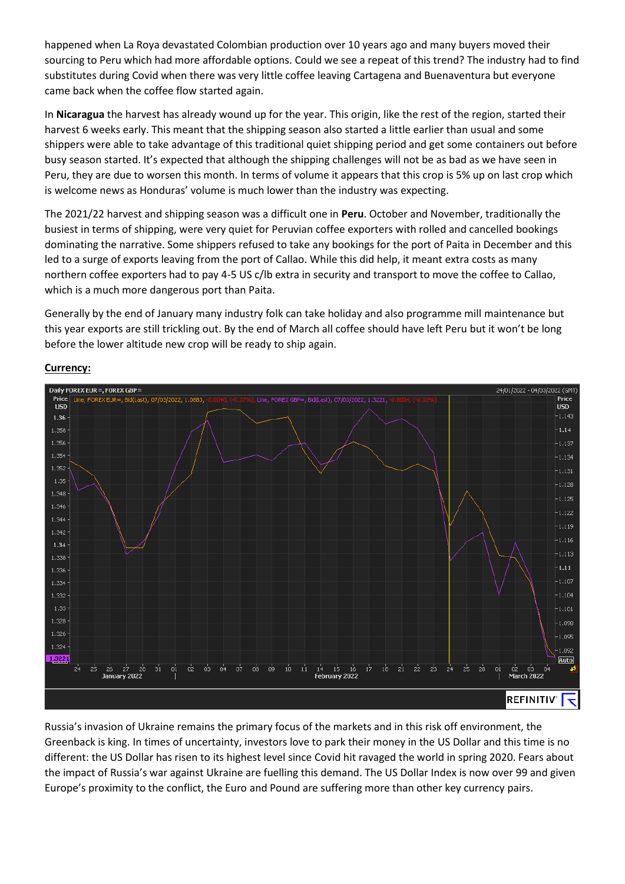happened when La Roya devastated Colombian production over 10 years ago and many buyers moved their sourcing to Peru which had more affordable options. Could we see a repeat of this trend? The industry had to find substitutes during Covid when there was very little coffee leaving Cartagena and Buenaventura but everyone came back when the coffee flow started again.

In **Nicaragua** the harvest has already wound up for the year. This origin, like the rest of the region, started their harvest 6 weeks early. This meant that the shipping season also started a little earlier than usual and some shippers were able to take advantage of this traditional quiet shipping period and get some containers out before busy season started. It's expected that although the shipping challenges will not be as bad as we have seen in Peru, they are due to worsen this month. In terms of volume it appears that this crop is 5% up on last crop which is welcome news as Honduras' volume is much lower than the industry was expecting.

The 2021/22 harvest and shipping season was a difficult one in **Peru**. October and November, traditionally the busiest in terms of shipping, were very quiet for Peruvian coffee exporters with rolled and cancelled bookings dominating the narrative. Some shippers refused to take any bookings for the port of Paita in December and this led to a surge of exports leaving from the port of Callao. While this did help, it meant extra costs as many northern coffee exporters had to pay 4-5 US c/lb extra in security and transport to move the coffee to Callao, which is a much more dangerous port than Paita.

Generally by the end of January many industry folk can take holiday and also programme mill maintenance but this year exports are still trickling out. By the end of March all coffee should have left Peru but it won't be long before the lower altitude new crop will be ready to ship again.



## **Currency:**

Russia's invasion of Ukraine remains the primary focus of the markets and in this risk off environment, the Greenback is king. In times of uncertainty, investors love to park their money in the US Dollar and this time is no different: the US Dollar has risen to its highest level since Covid hit ravaged the world in spring 2020. Fears about the impact of Russia's war against Ukraine are fuelling this demand. The US Dollar Index is now over 99 and given Europe's proximity to the conflict, the Euro and Pound are suffering more than other key currency pairs.